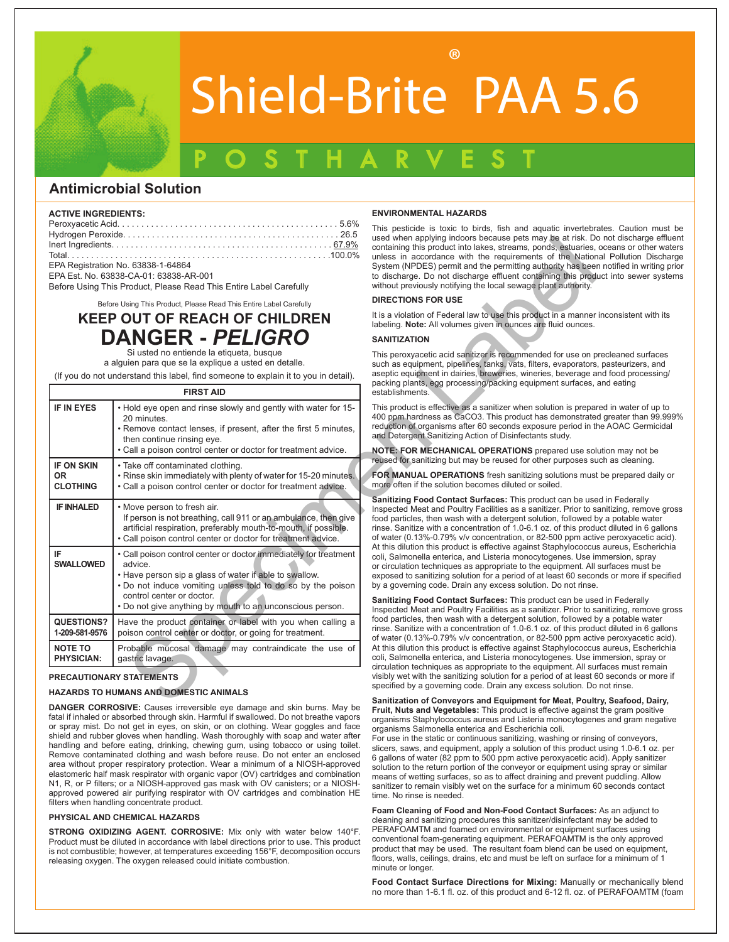

# Shield-Brite PAA 5.6

## POSTHARVEST

### **Antimicrobial Solution**

#### **ACTIVE INGREDIENTS:**

| EPA Registration No. 63838-1-64864 |  |
|------------------------------------|--|

### **KEEP OUT OF REACH OF CHILDREN DANGER -** *PELIGRO*

| EPA Registration No. 63838-1-64864<br>EPA Est. No. 63838-CA-01: 63838-AR-001<br>Before Using This Product, Please Read This Entire Label Carefully<br>Before Using This Product, Please Read This Entire Label Carefully |                                                                                                                                                                                                                                   | used when applying indoors because pets may be at risk. Do r<br>containing this product into lakes, streams, ponds, estuaries, oc<br>unless in accordance with the requirements of the National<br>System (NPDES) permit and the permitting authority has been n<br>to discharge. Do not discharge effluent containing this product<br>without previously notifying the local sewage plant authority.<br><b>DIRECTIONS FOR USE</b>                                                                                                                                                                                                                                                                                                                                           |  |
|--------------------------------------------------------------------------------------------------------------------------------------------------------------------------------------------------------------------------|-----------------------------------------------------------------------------------------------------------------------------------------------------------------------------------------------------------------------------------|------------------------------------------------------------------------------------------------------------------------------------------------------------------------------------------------------------------------------------------------------------------------------------------------------------------------------------------------------------------------------------------------------------------------------------------------------------------------------------------------------------------------------------------------------------------------------------------------------------------------------------------------------------------------------------------------------------------------------------------------------------------------------|--|
|                                                                                                                                                                                                                          |                                                                                                                                                                                                                                   |                                                                                                                                                                                                                                                                                                                                                                                                                                                                                                                                                                                                                                                                                                                                                                              |  |
|                                                                                                                                                                                                                          | <b>DANGER - PELIGRO</b>                                                                                                                                                                                                           | <b>SANITIZATION</b>                                                                                                                                                                                                                                                                                                                                                                                                                                                                                                                                                                                                                                                                                                                                                          |  |
| Si usted no entiende la etiqueta, busque<br>a alquien para que se la explique a usted en detalle.<br>(If you do not understand this label, find someone to explain it to you in detail).<br><b>FIRST AID</b>             |                                                                                                                                                                                                                                   | This peroxyacetic acid sanitizer is recommended for use on preo<br>such as equipment, pipelines, tanks, vats, filters, evaporators, p.<br>aseptic equipment in dairies, breweries, wineries, beverage and<br>packing plants, egg processing/packing equipment surfaces, an                                                                                                                                                                                                                                                                                                                                                                                                                                                                                                   |  |
|                                                                                                                                                                                                                          |                                                                                                                                                                                                                                   | establishments.                                                                                                                                                                                                                                                                                                                                                                                                                                                                                                                                                                                                                                                                                                                                                              |  |
| IF IN EYES                                                                                                                                                                                                               | • Hold eye open and rinse slowly and gently with water for 15-<br>20 minutes.<br>• Remove contact lenses, if present, after the first 5 minutes,<br>then continue rinsing eye.                                                    | This product is effective as a sanitizer when solution is prepared<br>400 ppm hardness as CaCO3. This product has demonstrated o<br>reduction of organisms after 60 seconds exposure period in the<br>and Detergent Sanitizing Action of Disinfectants study.                                                                                                                                                                                                                                                                                                                                                                                                                                                                                                                |  |
|                                                                                                                                                                                                                          | • Call a poison control center or doctor for treatment advice.                                                                                                                                                                    | <b>NOTE: FOR MECHANICAL OPERATIONS</b> prepared use soluti-<br>reused for sanitizing but may be reused for other purposes such                                                                                                                                                                                                                                                                                                                                                                                                                                                                                                                                                                                                                                               |  |
| <b>IF ON SKIN</b><br>0R<br><b>CLOTHING</b>                                                                                                                                                                               | • Take off contaminated clothing.<br>. Rinse skin immediately with plenty of water for 15-20 minutes.<br>. Call a poison control center or doctor for treatment advice.                                                           | FOR MANUAL OPERATIONS fresh sanitizing solutions must be<br>more often if the solution becomes diluted or soiled.                                                                                                                                                                                                                                                                                                                                                                                                                                                                                                                                                                                                                                                            |  |
| <b>IF INHALED</b>                                                                                                                                                                                                        | • Move person to fresh air.<br>If person is not breathing, call 911 or an ambulance, then give<br>artificial respiration, preferably mouth-to-mouth, if possible.<br>• Call poison control center or doctor for treatment advice. | Sanitizing Food Contact Surfaces: This product can be used i<br>Inspected Meat and Poultry Facilities as a sanitizer. Prior to san<br>food particles, then wash with a detergent solution, followed by a<br>rinse. Sanitize with a concentration of 1.0-6.1 oz. of this product<br>of water (0.13%-0.79% v/v concentration, or 82-500 ppm active<br>At this dilution this product is effective against Staphylococcus a<br>coli, Salmonella enterica, and Listeria monocytogenes. Use imm<br>or circulation techniques as appropriate to the equipment. All su<br>exposed to sanitizing solution for a period of at least 60 seconds<br>by a governing code. Drain any excess solution. Do not rinse.<br><b>Sanitizing Food Contact Surfaces:</b> This product can be used i |  |
| IF<br><b>SWALLOWED</b>                                                                                                                                                                                                   | • Call poison control center or doctor immediately for treatment<br>advice.<br>• Have person sip a glass of water if able to swallow.<br>. Do not induce vomiting unless told to do so by the poison<br>control center or doctor. |                                                                                                                                                                                                                                                                                                                                                                                                                                                                                                                                                                                                                                                                                                                                                                              |  |
|                                                                                                                                                                                                                          | . Do not give anything by mouth to an unconscious person.                                                                                                                                                                         | Inspected Meat and Poultry Facilities as a sanitizer. Prior to san                                                                                                                                                                                                                                                                                                                                                                                                                                                                                                                                                                                                                                                                                                           |  |
| QUESTIONS?<br>1-209-581-9576                                                                                                                                                                                             | Have the product container or label with you when calling a<br>poison control center or doctor, or going for treatment.                                                                                                           | food particles, then wash with a detergent solution, followed by a<br>rinse. Sanitize with a concentration of 1.0-6.1 oz. of this product<br>of water (0.13%-0.79% v/v concentration, or 82-500 ppm active                                                                                                                                                                                                                                                                                                                                                                                                                                                                                                                                                                   |  |
| <b>NOTE TO</b><br><b>PHYSICIAN:</b>                                                                                                                                                                                      | Probable mucosal damage may contraindicate the use of<br>gastric lavage.                                                                                                                                                          | At this dilution this product is effective against Staphylococcus a<br>coli, Salmonella enterica, and Listeria monocytogenes. Use imm<br>circulation techniques as appropriate to the equipment. All surfa                                                                                                                                                                                                                                                                                                                                                                                                                                                                                                                                                                   |  |
| <b>PRECAUTIONARY STATEMENTS</b>                                                                                                                                                                                          |                                                                                                                                                                                                                                   | visibly wet with the sanitizing solution for a period of at least 60 :<br>specified by a governing code. Drain any excess solution. Do no                                                                                                                                                                                                                                                                                                                                                                                                                                                                                                                                                                                                                                    |  |
| HAZARDS TO HUMANS AND DOMESTIC ANIMALS                                                                                                                                                                                   |                                                                                                                                                                                                                                   | Sanitization of Conveyors and Equipment for Meat, Poultry,                                                                                                                                                                                                                                                                                                                                                                                                                                                                                                                                                                                                                                                                                                                   |  |
|                                                                                                                                                                                                                          | MQED QQDQQQW/EQQ                                                                                                                                                                                                                  |                                                                                                                                                                                                                                                                                                                                                                                                                                                                                                                                                                                                                                                                                                                                                                              |  |

#### **PRECAUTIONARY STATEMENTS**

#### **HAZARDS TO HUMANS AND DOMESTIC ANIMALS**

**DANGER CORROSIVE:** Causes irreversible eye damage and skin burns. May be fatal if inhaled or absorbed through skin. Harmful if swallowed. Do not breathe vapors or spray mist. Do not get in eyes, on skin, or on clothing. Wear goggles and face shield and rubber gloves when handling. Wash thoroughly with soap and water after handling and before eating, drinking, chewing gum, using tobacco or using toilet. Remove contaminated clothing and wash before reuse. Do not enter an enclosed area without proper respiratory protection. Wear a minimum of a NIOSH-approved elastomeric half mask respirator with organic vapor (OV) cartridges and combination N1, R, or P filters; or a NIOSH-approved gas mask with OV canisters; or a NIOSHapproved powered air purifying respirator with OV cartridges and combination HE filters when handling concentrate product.

#### **PHYSICAL AND CHEMICAL HAZARDS**

**STRONG OXIDIZING AGENT. CORROSIVE:** Mix only with water below 140°F. Product must be diluted in accordance with label directions prior to use. This product is not combustible; however, at temperatures exceeding 156°F, decomposition occurs releasing oxygen. The oxygen released could initiate combustion.

#### **ENVIRONMENTAL HAZARDS**

This pesticide is toxic to birds, fish and aquatic invertebrates. Caution must be used when applying indoors because pets may be at risk. Do not discharge effluent containing this product into lakes, streams, ponds, estuaries, oceans or other waters unless in accordance with the requirements of the National Pollution Discharge System (NPDES) permit and the permitting authority has been notified in writing prior to discharge. Do not discharge effluent containing this product into sewer systems without previously notifying the local sewage plant authority.

#### **DIRECTIONS FOR USE**

It is a violation of Federal law to use this product in a manner inconsistent with its labeling. **Note:** All volumes given in ounces are fluid ounces.

#### **SANITIZATION**

This peroxyacetic acid sanitizer is recommended for use on precleaned surfaces such as equipment, pipelines, tanks, vats, filters, evaporators, pasteurizers, and aseptic equipment in dairies, breweries, wineries, beverage and food processing/ packing plants, egg processing/packing equipment surfaces, and eating establishments.

This product is effective as a sanitizer when solution is prepared in water of up to 400 ppm hardness as CaCO3. This product has demonstrated greater than 99.999% reduction of organisms after 60 seconds exposure period in the AOAC Germicidal and Detergent Sanitizing Action of Disinfectants study.

**NOTE: FOR MECHANICAL OPERATIONS** prepared use solution may not be reused for sanitizing but may be reused for other purposes such as cleaning.

**FOR MANUAL OPERATIONS** fresh sanitizing solutions must be prepared daily or more often if the solution becomes diluted or soiled.

**Sanitizing Food Contact Surfaces:** This product can be used in Federally Inspected Meat and Poultry Facilities as a sanitizer. Prior to sanitizing, remove gross food particles, then wash with a detergent solution, followed by a potable water rinse. Sanitize with a concentration of 1.0-6.1 oz. of this product diluted in 6 gallons of water (0.13%-0.79% v/v concentration, or 82-500 ppm active peroxyacetic acid). At this dilution this product is effective against Staphylococcus aureus, Escherichia coli, Salmonella enterica, and Listeria monocytogenes. Use immersion, spray or circulation techniques as appropriate to the equipment. All surfaces must be exposed to sanitizing solution for a period of at least 60 seconds or more if specified by a governing code. Drain any excess solution. Do not rinse.

**Sanitizing Food Contact Surfaces:** This product can be used in Federally Inspected Meat and Poultry Facilities as a sanitizer. Prior to sanitizing, remove gross food particles, then wash with a detergent solution, followed by a potable water rinse. Sanitize with a concentration of 1.0-6.1 oz. of this product diluted in 6 gallons of water (0.13%-0.79% v/v concentration, or 82-500 ppm active peroxyacetic acid). At this dilution this product is effective against Staphylococcus aureus, Escherichia coli, Salmonella enterica, and Listeria monocytogenes. Use immersion, spray or circulation techniques as appropriate to the equipment. All surfaces must remain visibly wet with the sanitizing solution for a period of at least 60 seconds or more if specified by a governing code. Drain any excess solution. Do not rinse.

**Sanitization of Conveyors and Equipment for Meat, Poultry, Seafood, Dairy, Fruit, Nuts and Vegetables:** This product is effective against the gram positive organisms Staphylococcus aureus and Listeria monocytogenes and gram negative organisms Salmonella enterica and Escherichia coli.

For use in the static or continuous sanitizing, washing or rinsing of conveyors, slicers, saws, and equipment, apply a solution of this product using 1.0-6.1 oz. per 6 gallons of water (82 ppm to 500 ppm active peroxyacetic acid). Apply sanitizer solution to the return portion of the conveyor or equipment using spray or similar means of wetting surfaces, so as to affect draining and prevent puddling. Allow sanitizer to remain visibly wet on the surface for a minimum 60 seconds contact time. No rinse is needed.

**Foam Cleaning of Food and Non-Food Contact Surfaces:** As an adjunct to cleaning and sanitizing procedures this sanitizer/disinfectant may be added to PERAFOAMTM and foamed on environmental or equipment surfaces using conventional foam-generating equipment. PERAFOAMTM is the only approved product that may be used. The resultant foam blend can be used on equipment, floors, walls, ceilings, drains, etc and must be left on surface for a minimum of 1 minute or longer.

**Food Contact Surface Directions for Mixing:** Manually or mechanically blend no more than 1-6.1 fl. oz. of this product and 6-12 fl. oz. of PERAFOAMTM (foam

®